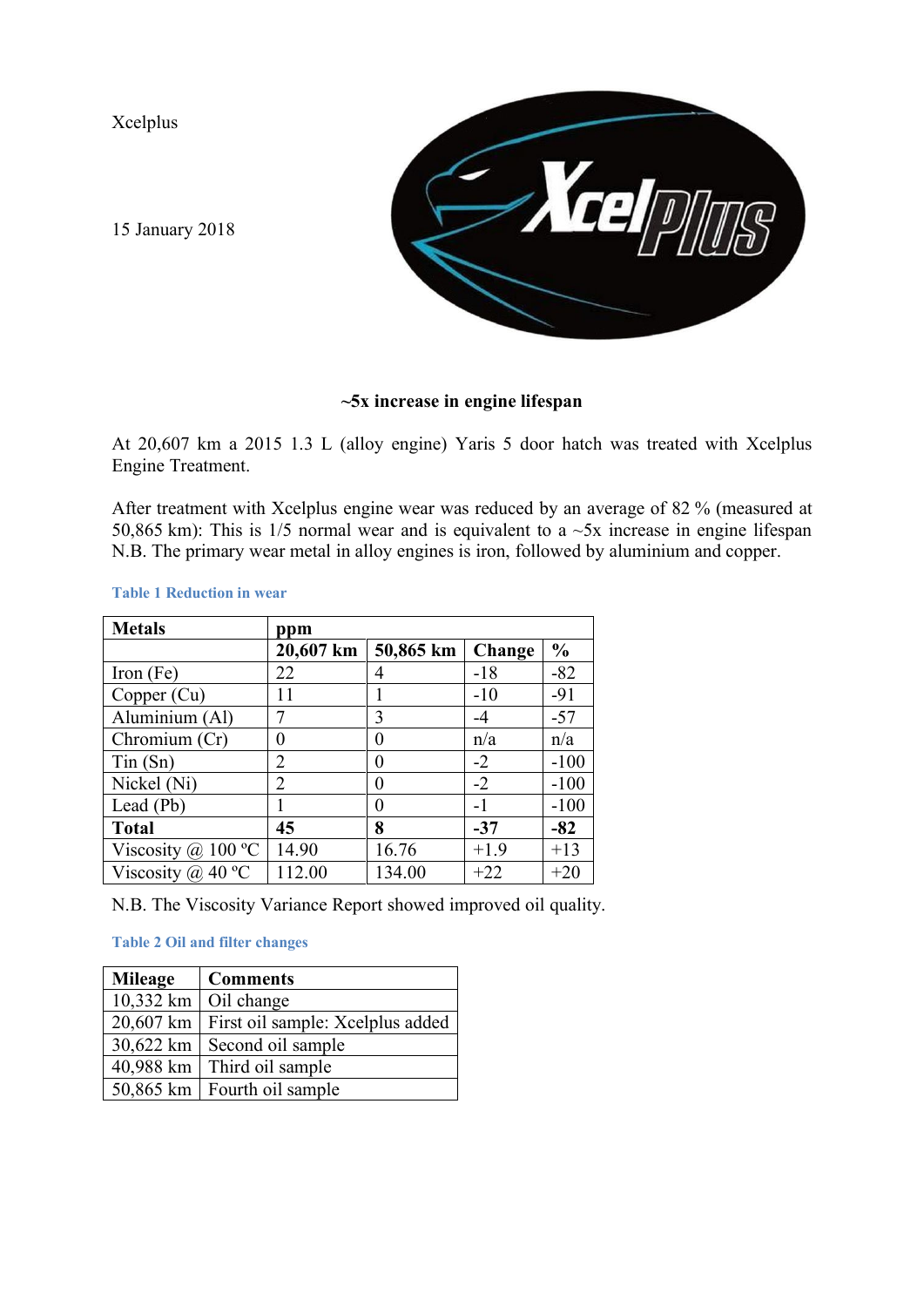Xcelplus



[15 January 2018](mailto:Xcelplus@pobox.com) 

## **~5x increase in engine lifespan**

At 20,607 km a 2015 1.3 L (alloy engine) Yaris 5 door hatch was treated with Xcelplus Engine Treatment.

After treatment with Xcelplus engine wear was reduced by an average of 82 % (measured at 50,865 km): This is  $1/5$  normal wear and is equivalent to a  $\sim$ 5x increase in engine lifespan N.B. The primary wear metal in alloy engines is iron, followed by aluminium and copper.

## **Table 1 Reduction in wear**

| <b>Metals</b>                    | ppm       |                  |        |               |
|----------------------------------|-----------|------------------|--------|---------------|
|                                  | 20,607 km | 50,865 km        | Change | $\frac{0}{0}$ |
| Iron (Fe)                        | 22        | 4                | $-18$  | $-82$         |
| Copper (Cu)                      | 11        |                  | $-10$  | $-91$         |
| Aluminium (Al)                   |           | 3                | -4     | $-57$         |
| Chromium (Cr)                    | $\theta$  | $\theta$         | n/a    | n/a           |
| $T$ in $(Sn)$                    | 2         | 0                | $-2$   | $-100$        |
| Nickel (Ni)                      | 2         | $\left( \right)$ | $-2$   | $-100$        |
| Lead (Pb)                        |           | 0                | $-1$   | $-100$        |
| <b>Total</b>                     | 45        | 8                | $-37$  | $-82$         |
| Viscosity @ 100 $\rm{^{\circ}C}$ | 14.90     | 16.76            | $+1.9$ | $+13$         |
| Viscosity @ 40 $^{\circ}$ C      | 112.00    | 134.00           | $+22$  | $+20$         |

N.B. The Viscosity Variance Report showed improved oil quality.

**Table 2 Oil and filter changes**

| <b>Mileage</b> | <b>Comments</b>                              |
|----------------|----------------------------------------------|
|                | 10,332 km $\vert$ Oil change                 |
|                | 20,607 km   First oil sample: Xcelplus added |
| $30,622$ km    | Second oil sample                            |
| 40,988 km      | Third oil sample                             |
|                | 50,865 km   Fourth oil sample                |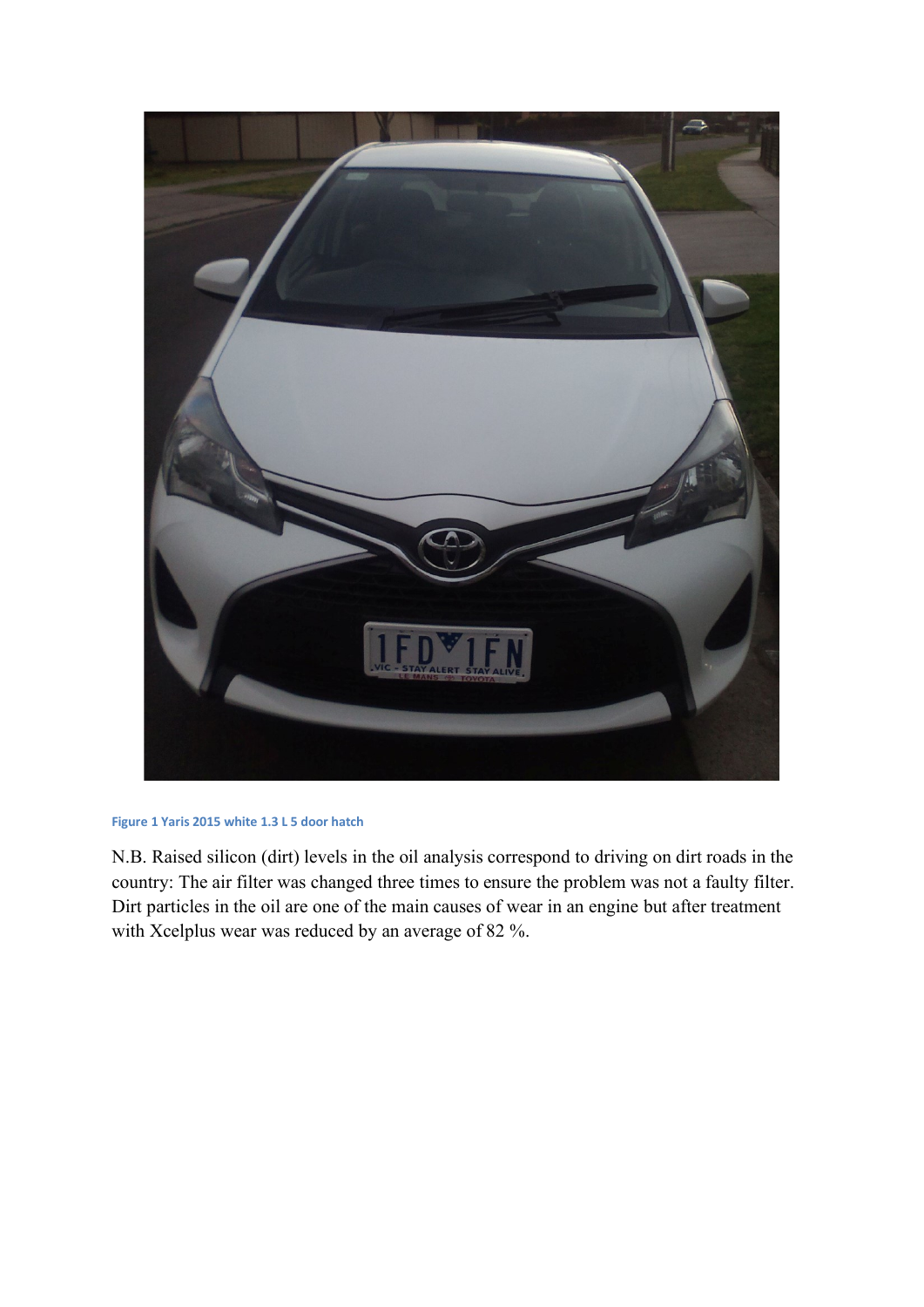

## **Figure 1 Yaris 2015 white 1.3 L 5 door hatch**

N.B. Raised silicon (dirt) levels in the oil analysis correspond to driving on dirt roads in the country: The air filter was changed three times to ensure the problem was not a faulty filter. Dirt particles in the oil are one of the main causes of wear in an engine but after treatment with Xcelplus wear was reduced by an average of 82 %.